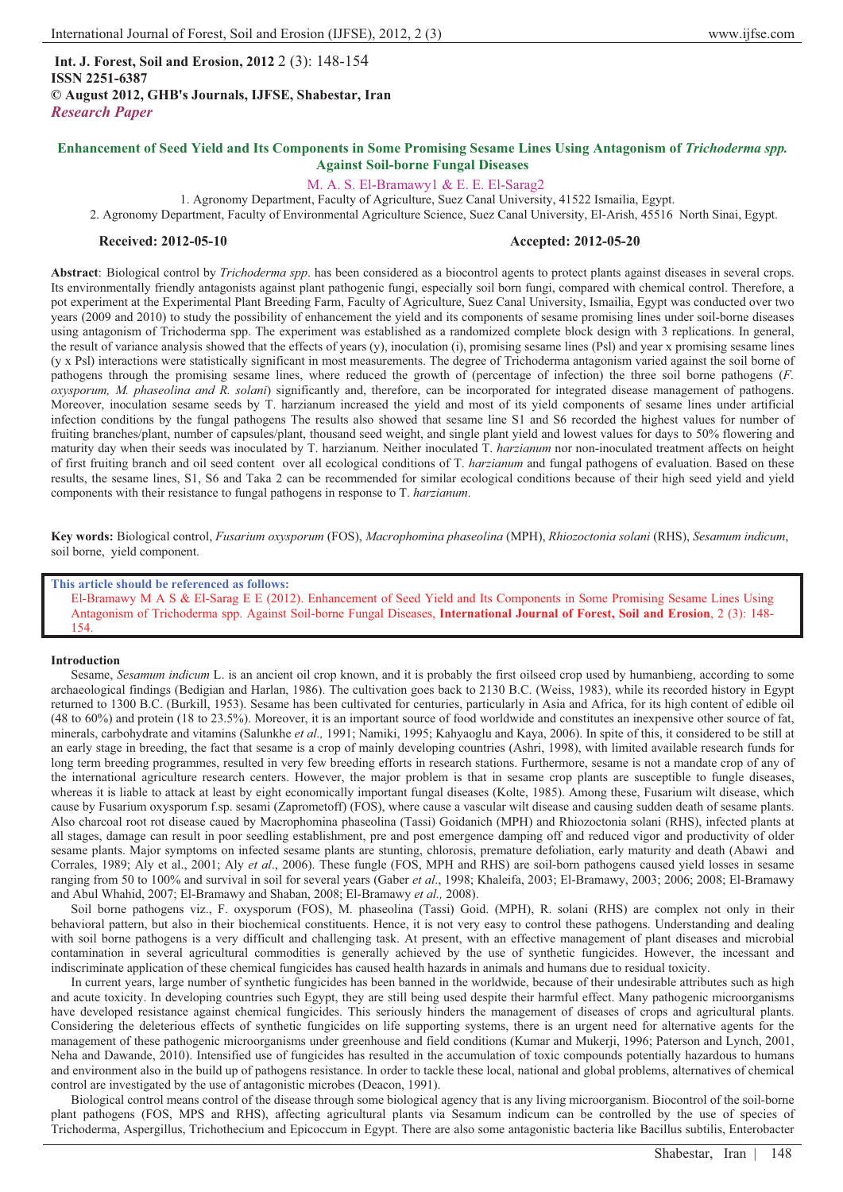**Int. J. Forest, Soil and Erosion, 2012** 2 (3): 148-154 **ISSN 2251-6387 © August 2012, GHB's Journals, IJFSE, Shabestar, Iran** *Research Paper*

# **Enhancement of Seed Yield and Its Components in Some Promising Sesame Lines Using Antagonism of** *Trichoderma spp.* **Against Soil-borne Fungal Diseases**

# M. A. S. El-Bramawy1 & E. E. El-Sarag2

1. Agronomy Department, Faculty of Agriculture, Suez Canal University, 41522 Ismailia, Egypt. 2. Agronomy Department, Faculty of Environmental Agriculture Science, Suez Canal University, El-Arish, 45516 North Sinai, Egypt.

# **Received: 2012-05-10 Accepted: 2012-05-20**

**Abstract**: Biological control by *Trichoderma spp*. has been considered as a biocontrol agents to protect plants against diseases in several crops. Its environmentally friendly antagonists against plant pathogenic fungi, especially soil born fungi, compared with chemical control. Therefore, a pot experiment at the Experimental Plant Breeding Farm, Faculty of Agriculture, Suez Canal University, Ismailia, Egypt was conducted over two years (2009 and 2010) to study the possibility of enhancement the yield and its components of sesame promising lines under soil-borne diseases using antagonism of Trichoderma spp. The experiment was established as a randomized complete block design with 3 replications. In general, the result of variance analysis showed that the effects of years (y), inoculation (i), promising sesame lines (Psl) and year x promising sesame lines (y x Psl) interactions were statistically significant in most measurements. The degree of Trichoderma antagonism varied against the soil borne of pathogens through the promising sesame lines, where reduced the growth of (percentage of infection) the three soil borne pathogens (*F. oxysporum, M. phaseolina and R. solani*) significantly and, therefore, can be incorporated for integrated disease management of pathogens. Moreover, inoculation sesame seeds by T. harzianum increased the yield and most of its yield components of sesame lines under artificial infection conditions by the fungal pathogens The results also showed that sesame line S1 and S6 recorded the highest values for number of fruiting branches/plant, number of capsules/plant, thousand seed weight, and single plant yield and lowest values for days to 50% flowering and maturity day when their seeds was inoculated by T. harzianum. Neither inoculated T. *harzianum* nor non-inoculated treatment affects on height of first fruiting branch and oil seed content over all ecological conditions of T. *harzianum* and fungal pathogens of evaluation. Based on these results, the sesame lines, S1, S6 and Taka 2 can be recommended for similar ecological conditions because of their high seed yield and yield components with their resistance to fungal pathogens in response to T. *harzianum*.

**Key words:** Biological control, *Fusarium oxysporum* (FOS), *Macrophomina phaseolina* (MPH), *Rhiozoctonia solani* (RHS), *Sesamum indicum*, soil borne, yield component.

**This article should be referenced as follows:** 

El-Bramawy M A S & El-Sarag E E (2012). Enhancement of Seed Yield and Its Components in Some Promising Sesame Lines Using Antagonism of Trichoderma spp. Against Soil-borne Fungal Diseases, **International Journal of Forest, Soil and Erosion**, 2 (3): 148- 154.

## **Introduction**

Sesame, *Sesamum indicum* L. is an ancient oil crop known, and it is probably the first oilseed crop used by humanbieng, according to some archaeological findings (Bedigian and Harlan, 1986). The cultivation goes back to 2130 B.C. (Weiss, 1983), while its recorded history in Egypt returned to 1300 B.C. (Burkill, 1953). Sesame has been cultivated for centuries, particularly in Asia and Africa, for its high content of edible oil (48 to 60%) and protein (18 to 23.5%). Moreover, it is an important source of food worldwide and constitutes an inexpensive other source of fat, minerals, carbohydrate and vitamins (Salunkhe *et al.,* 1991; Namiki, 1995; Kahyaoglu and Kaya, 2006). In spite of this, it considered to be still at an early stage in breeding, the fact that sesame is a crop of mainly developing countries (Ashri, 1998), with limited available research funds for long term breeding programmes, resulted in very few breeding efforts in research stations. Furthermore, sesame is not a mandate crop of any of the international agriculture research centers. However, the major problem is that in sesame crop plants are susceptible to fungle diseases, whereas it is liable to attack at least by eight economically important fungal diseases (Kolte, 1985). Among these, Fusarium wilt disease, which cause by Fusarium oxysporum f.sp. sesami (Zaprometoff) (FOS), where cause a vascular wilt disease and causing sudden death of sesame plants. Also charcoal root rot disease caued by Macrophomina phaseolina (Tassi) Goidanich (MPH) and Rhiozoctonia solani (RHS), infected plants at all stages, damage can result in poor seedling establishment, pre and post emergence damping off and reduced vigor and productivity of older sesame plants. Major symptoms on infected sesame plants are stunting, chlorosis, premature defoliation, early maturity and death (Abawi and Corrales, 1989; Aly et al., 2001; Aly et al., 2006). These fungle (FOS, MPH and RH ranging from 50 to 100% and survival in soil for several years (Gaber *et al*., 1998; Khaleifa, 2003; El-Bramawy, 2003; 2006; 2008; El-Bramawy and Abul Whahid, 2007; El-Bramawy and Shaban, 2008; El-Bramawy *et al.,* 2008).

Soil borne pathogens viz., F. oxysporum (FOS), M. phaseolina (Tassi) Goid. (MPH), R. solani (RHS) are complex not only in their behavioral pattern, but also in their biochemical constituents. Hence, it is not very easy to control these pathogens. Understanding and dealing with soil borne pathogens is a very difficult and challenging task. At present, with an effective management of plant diseases and microbial contamination in several agricultural commodities is generally achieved by the use of synthetic fungicides. However, the incessant and indiscriminate application of these chemical fungicides has caused health hazards in animals and humans due to residual toxicity.

In current years, large number of synthetic fungicides has been banned in the worldwide, because of their undesirable attributes such as high and acute toxicity. In developing countries such Egypt, they are still being used despite their harmful effect. Many pathogenic microorganisms have developed resistance against chemical fungicides. This seriously hinders the management of diseases of crops and agricultural plants. Considering the deleterious effects of synthetic fungicides on life supporting systems, there is an urgent need for alternative agents for the management of these pathogenic microorganisms under greenhouse and field conditions (Kumar and Mukerji, 1996; Paterson and Lynch, 2001, Neha and Dawande, 2010). Intensified use of fungicides has resulted in the accumulation of toxic compounds potentially hazardous to humans and environment also in the build up of pathogens resistance. In order to tackle these local, national and global problems, alternatives of chemical control are investigated by the use of antagonistic microbes (Deacon, 1991).

Biological control means control of the disease through some biological agency that is any living microorganism. Biocontrol of the soil-borne plant pathogens (FOS, MPS and RHS), affecting agricultural plants via Sesamum indicum can be controlled by the use of species of Trichoderma, Aspergillus, Trichothecium and Epicoccum in Egypt. There are also some antagonistic bacteria like Bacillus subtilis, Enterobacter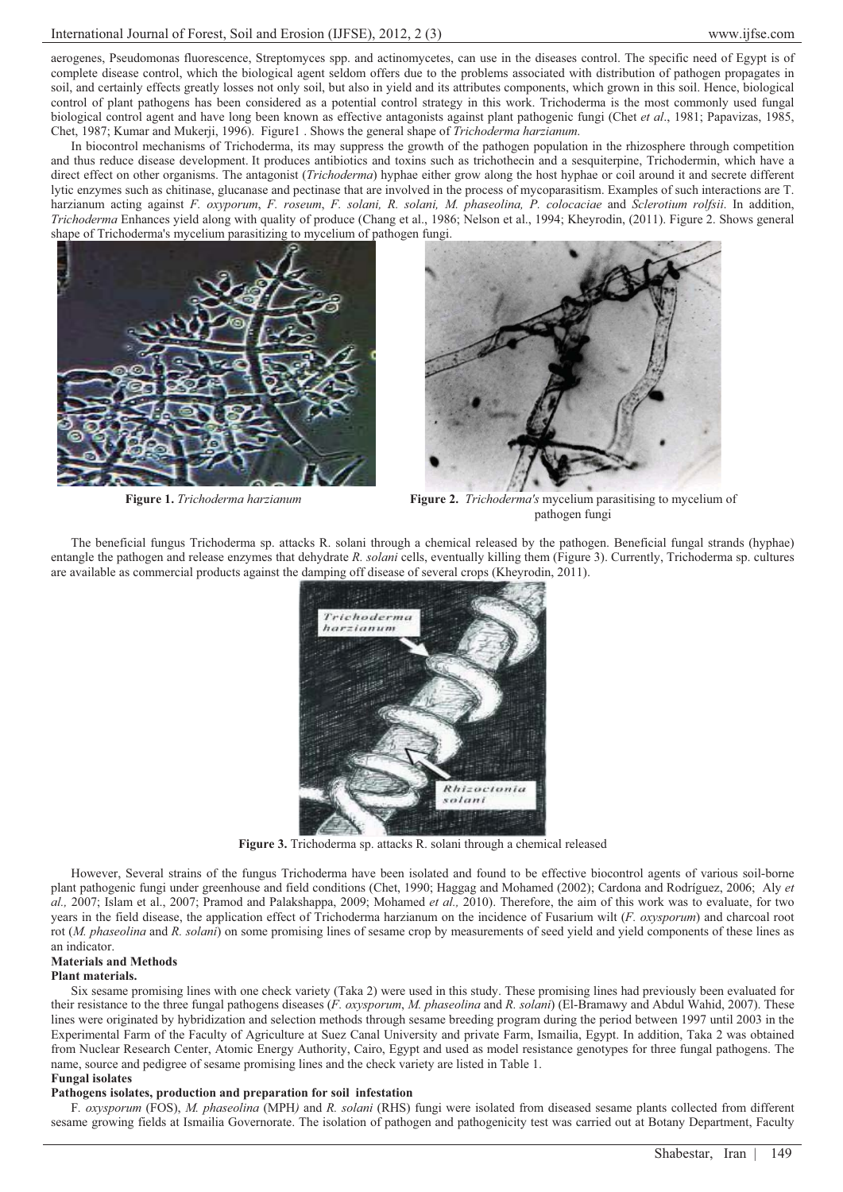aerogenes, Pseudomonas fluorescence, Streptomyces spp. and actinomycetes, can use in the diseases control. The specific need of Egypt is of complete disease control, which the biological agent seldom offers due to the problems associated with distribution of pathogen propagates in soil, and certainly effects greatly losses not only soil, but also in yield and its attributes components, which grown in this soil. Hence, biological control of plant pathogens has been considered as a potential control strategy in this work. Trichoderma is the most commonly used fungal biological control agent and have long been known as effective antagonists against plant pathogenic fungi (Chet *et al*., 1981; Papavizas, 1985, Chet, 1987; Kumar and Mukerji, 1996). Figure1 . Shows the general shape of *Trichoderma harzianum*.

In biocontrol mechanisms of Trichoderma, its may suppress the growth of the pathogen population in the rhizosphere through competition and thus reduce disease development. It produces antibiotics and toxins such as trichothecin and a sesquiterpine, Trichodermin, which have a direct effect on other organisms. The antagonist (*Trichoderma*) hyphae either grow along the host hyphae or coil around it and secrete different lytic enzymes such as chitinase, glucanase and pectinase that are involved in the process of mycoparasitism. Examples of such interactions are T. harzianum acting against *F. oxyporum*, *F. roseum*, *F. solani, R. solani, M. phaseolina, P. colocaciae* and *Sclerotium rolfsii*. In addition, *Trichoderma* Enhances yield along with quality of produce (Chang et al., 1986; Nelson et al., 1994; Kheyrodin, (2011). Figure 2. Shows general shape of Trichoderma's mycelium parasitizing to mycelium of pathogen fungi.





**Figure 1.** *Trichoderma harzianum* **Figure 2.** *Trichoderma's* mycelium parasitising to mycelium of pathogen fungi

The beneficial fungus Trichoderma sp. attacks R. solani through a chemical released by the pathogen. Beneficial fungal strands (hyphae) entangle the pathogen and release enzymes that dehydrate *R. solani* cells, eventually killing them (Figure 3). Currently, Trichoderma sp. cultures are available as commercial products against the damping off disease of several crops (Kheyrodin, 2011).



**Figure 3.** Trichoderma sp. attacks R. solani through a chemical released

However, Several strains of the fungus Trichoderma have been isolated and found to be effective biocontrol agents of various soil-borne plant pathogenic fungi under greenhouse and field conditions (Chet, 1990; Haggag and Mohamed (2002); Cardona and Rodríguez, 2006; Aly *et al.,* 2007; Islam et al., 2007; Pramod and Palakshappa, 2009; Mohamed *et al.,* 2010). Therefore, the aim of this work was to evaluate, for two years in the field disease, the application effect of Trichoderma harzianum on the incidence of Fusarium wilt (*F. oxysporum*) and charcoal root rot (*M. phaseolina* and *R. solani*) on some promising lines of sesame crop by measurements of seed yield and yield components of these lines as an indicator.

# **Materials and Methods**

## **Plant materials.**

Six sesame promising lines with one check variety (Taka 2) were used in this study. These promising lines had previously been evaluated for their resistance to the three fungal pathogens diseases (*F. oxysporum*, *M. phaseolina* and *R. solani*) (El-Bramawy and Abdul Wahid, 2007). These lines were originated by hybridization and selection methods through sesame breeding program during the period between 1997 until 2003 in the Experimental Farm of the Faculty of Agriculture at Suez Canal University and private Farm, Ismailia, Egypt. In addition, Taka 2 was obtained from Nuclear Research Center, Atomic Energy Authority, Cairo, Egypt and used as model resistance genotypes for three fungal pathogens. The name, source and pedigree of sesame promising lines and the check variety are listed in Table 1.

## **Fungal isolates**

# **Pathogens isolates, production and preparation for soil infestation**

F*. oxysporum* (FOS), *M. phaseolina* (MPH*)* and *R. solani* (RHS) fungi were isolated from diseased sesame plants collected from different sesame growing fields at Ismailia Governorate. The isolation of pathogen and pathogenicity test was carried out at Botany Department, Faculty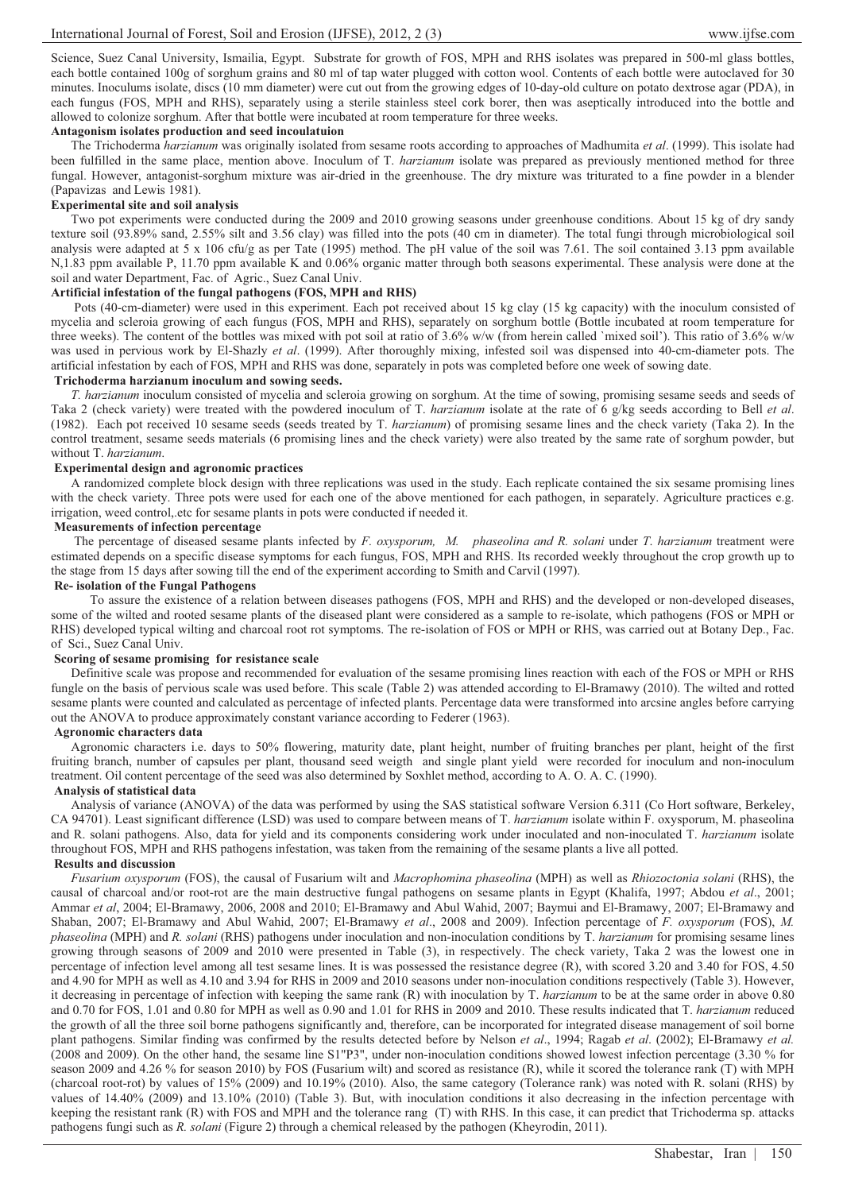Science, Suez Canal University, Ismailia, Egypt. Substrate for growth of FOS, MPH and RHS isolates was prepared in 500-ml glass bottles, each bottle contained 100g of sorghum grains and 80 ml of tap water plugged with cotton wool. Contents of each bottle were autoclaved for 30 minutes. Inoculums isolate, discs (10 mm diameter) were cut out from the growing edges of 10-day-old culture on potato dextrose agar (PDA), in each fungus (FOS, MPH and RHS), separately using a sterile stainless steel cork borer, then was aseptically introduced into the bottle and allowed to colonize sorghum. After that bottle were incubated at room temperature for three weeks.

# **Antagonism isolates production and seed incoulatuion**

The Trichoderma *harzianum* was originally isolated from sesame roots according to approaches of Madhumita *et al*. (1999). This isolate had been fulfilled in the same place, mention above. Inoculum of T. *harzianum* isolate was prepared as previously mentioned method for three fungal. However, antagonist-sorghum mixture was air-dried in the greenhouse. The dry mixture was triturated to a fine powder in a blender (Papavizas and Lewis 1981).

# **Experimental site and soil analysis**

Two pot experiments were conducted during the 2009 and 2010 growing seasons under greenhouse conditions. About 15 kg of dry sandy texture soil (93.89% sand, 2.55% silt and 3.56 clay) was filled into the pots (40 cm in diameter). The total fungi through microbiological soil analysis were adapted at 5 x 106 cfu/g as per Tate (1995) method. The pH value of the soil was 7.61. The soil contained 3.13 ppm available N,1.83 ppm available P, 11.70 ppm available K and 0.06% organic matter through both seasons experimental. These analysis were done at the soil and water Department, Fac. of Agric., Suez Canal Univ.

# **Artificial infestation of the fungal pathogens (FOS, MPH and RHS)**

 Pots (40-cm-diameter) were used in this experiment. Each pot received about 15 kg clay (15 kg capacity) with the inoculum consisted of mycelia and scleroia growing of each fungus (FOS, MPH and RHS), separately on sorghum bottle (Bottle incubated at room temperature for three weeks). The content of the bottles was mixed with pot soil at ratio of 3.6% w/w (from herein called `mixed soil'). This ratio of 3.6% w/w was used in pervious work by El-Shazly *et al*. (1999). After thoroughly mixing, infested soil was dispensed into 40-cm-diameter pots. The artificial infestation by each of FOS, MPH and RHS was done, separately in pots was completed before one week of sowing date.

# **Trichoderma harzianum inoculum and sowing seeds.**

*T. harzianum* inoculum consisted of mycelia and scleroia growing on sorghum. At the time of sowing, promising sesame seeds and seeds of Taka 2 (check variety) were treated with the powdered inoculum of T. *harzianum* isolate at the rate of 6 g/kg seeds according to Bell *et al*. (1982). Each pot received 10 sesame seeds (seeds treated by T. *harzianum*) of promising sesame lines and the check variety (Taka 2). In the control treatment, sesame seeds materials (6 promising lines and the check variety) were also treated by the same rate of sorghum powder, but without T. *harzianum*.

## **Experimental design and agronomic practices**

A randomized complete block design with three replications was used in the study. Each replicate contained the six sesame promising lines with the check variety. Three pots were used for each one of the above mentioned for each pathogen, in separately. Agriculture practices e.g. irrigation, weed control,.etc for sesame plants in pots were conducted if needed it.

## **Measurements of infection percentage**

 The percentage of diseased sesame plants infected by *F. oxysporum, M. phaseolina and R. solani* under *T*. *harzianum* treatment were estimated depends on a specific disease symptoms for each fungus, FOS, MPH and RHS. Its recorded weekly throughout the crop growth up to the stage from 15 days after sowing till the end of the experiment according to Smith and Carvil (1997).

## **Re- isolation of the Fungal Pathogens**

 To assure the existence of a relation between diseases pathogens (FOS, MPH and RHS) and the developed or non-developed diseases, some of the wilted and rooted sesame plants of the diseased plant were considered as a sample to re-isolate, which pathogens (FOS or MPH or RHS) developed typical wilting and charcoal root rot symptoms. The re-isolation of FOS or MPH or RHS, was carried out at Botany Dep., Fac. of Sci., Suez Canal Univ.

## **Scoring of sesame promising for resistance scale**

Definitive scale was propose and recommended for evaluation of the sesame promising lines reaction with each of the FOS or MPH or RHS fungle on the basis of pervious scale was used before. This scale (Table 2) was attended according to El-Bramawy (2010). The wilted and rotted sesame plants were counted and calculated as percentage of infected plants. Percentage data were transformed into arcsine angles before carrying out the ANOVA to produce approximately constant variance according to Federer (1963).

## **Agronomic characters data**

Agronomic characters i.e. days to 50% flowering, maturity date, plant height, number of fruiting branches per plant, height of the first fruiting branch, number of capsules per plant, thousand seed weigth and single plant yield were recorded for inoculum and non-inoculum treatment. Oil content percentage of the seed was also determined by Soxhlet method, according to A. O. A. C. (1990).

# **Analysis of statistical data**

Analysis of variance (ANOVA) of the data was performed by using the SAS statistical software Version 6.311 (Co Hort software, Berkeley, CA 94701). Least significant difference (LSD) was used to compare between means of T. *harzianum* isolate within F. oxysporum, M. phaseolina and R. solani pathogens. Also, data for yield and its components considering work under inoculated and non-inoculated T. *harzianum* isolate throughout FOS, MPH and RHS pathogens infestation, was taken from the remaining of the sesame plants a live all potted.

# **Results and discussion**

*Fusarium oxysporum* (FOS), the causal of Fusarium wilt and *Macrophomina phaseolina* (MPH) as well as *Rhiozoctonia solani* (RHS), the causal of charcoal and/or root-rot are the main destructive fungal pathogens on sesame plants in Egypt (Khalifa, 1997; Abdou *et al*., 2001; Ammar *et al*, 2004; El-Bramawy, 2006, 2008 and 2010; El-Bramawy and Abul Wahid, 2007; Baymui and El-Bramawy, 2007; El-Bramawy and Shaban, 2007; El-Bramawy and Abul Wahid, 2007; El-Bramawy *et al*., 2008 and 2009). Infection percentage of *F. oxysporum* (FOS), *M. phaseolina* (MPH) and *R. solani* (RHS) pathogens under inoculation and non-inoculation conditions by T. *harzianum* for promising sesame lines growing through seasons of 2009 and 2010 were presented in Table (3), in respectively. The check variety, Taka 2 was the lowest one in percentage of infection level among all test sesame lines. It is was possessed the resistance degree (R), with scored 3.20 and 3.40 for FOS, 4.50 and 4.90 for MPH as well as 4.10 and 3.94 for RHS in 2009 and 2010 seasons under non-inoculation conditions respectively (Table 3). However, it decreasing in percentage of infection with keeping the same rank (R) with inoculation by T. *harzianum* to be at the same order in above 0.80 and 0.70 for FOS, 1.01 and 0.80 for MPH as well as 0.90 and 1.01 for RHS in 2009 and 2010. These results indicated that T. *harzianum* reduced the growth of all the three soil borne pathogens significantly and, therefore, can be incorporated for integrated disease management of soil borne plant pathogens. Similar finding was confirmed by the results detected before by Nelson *et al*., 1994; Ragab *et al*. (2002); El-Bramawy *et al.* (2008 and 2009). On the other hand, the sesame line S1"P3", under non-inoculation conditions showed lowest infection percentage (3.30 % for season 2009 and 4.26 % for season 2010) by FOS (Fusarium wilt) and scored as resistance (R), while it scored the tolerance rank (T) with MPH (charcoal root-rot) by values of 15% (2009) and 10.19% (2010). Also, the same category (Tolerance rank) was noted with R. solani (RHS) by values of 14.40% (2009) and 13.10% (2010) (Table 3). But, with inoculation conditions it also decreasing in the infection percentage with keeping the resistant rank (R) with FOS and MPH and the tolerance rang (T) with RHS. In this case, it can predict that Trichoderma sp. attacks pathogens fungi such as *R. solani* (Figure 2) through a chemical released by the pathogen (Kheyrodin, 2011).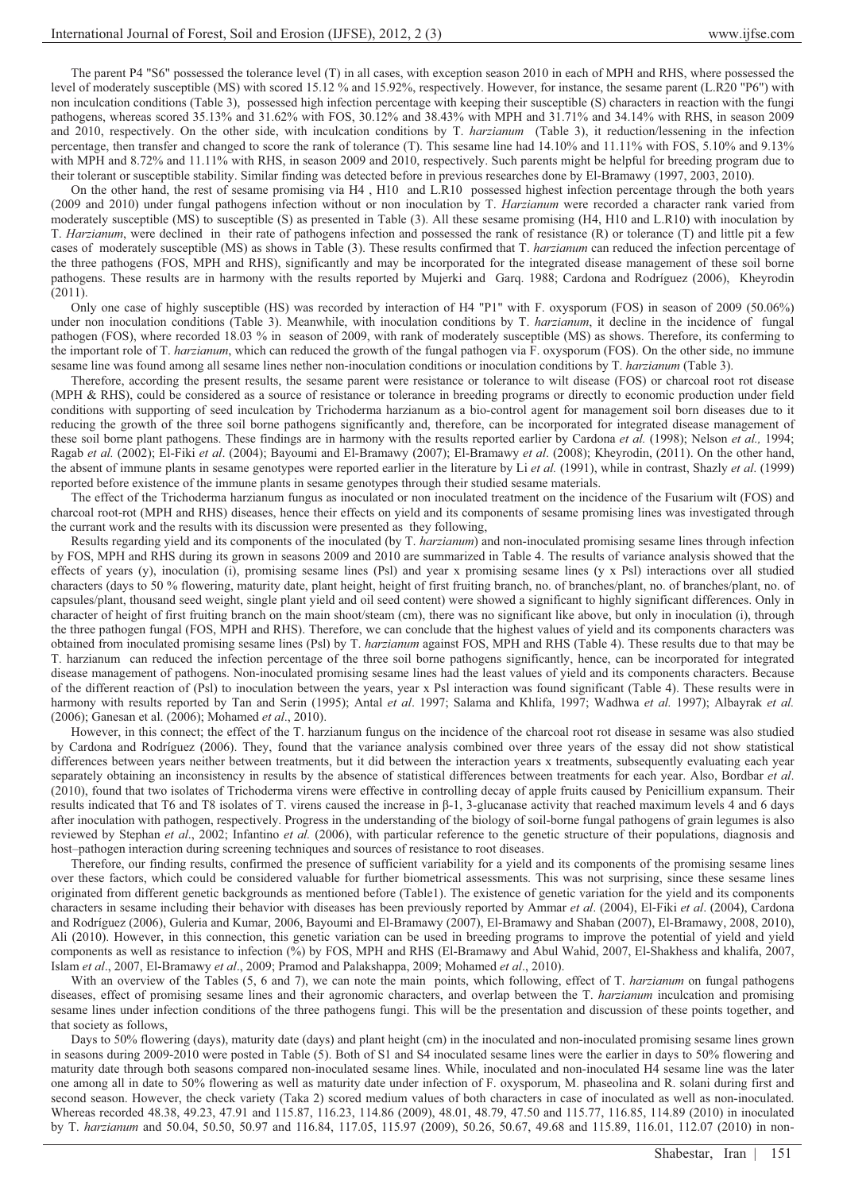The parent P4 "S6" possessed the tolerance level (T) in all cases, with exception season 2010 in each of MPH and RHS, where possessed the level of moderately susceptible (MS) with scored 15.12 % and 15.92%, respectively. However, for instance, the sesame parent (L.R20 "P6") with non inculcation conditions (Table 3), possessed high infection percentage with keeping their susceptible (S) characters in reaction with the fungi pathogens, whereas scored 35.13% and 31.62% with FOS, 30.12% and 38.43% with MPH and 31.71% and 34.14% with RHS, in season 2009 and 2010, respectively. On the other side, with inculcation conditions by T. *harzianum* (Table 3), it reduction/lessening in the infection percentage, then transfer and changed to score the rank of tolerance (T). This sesame line had 14.10% and 11.11% with FOS, 5.10% and 9.13% with MPH and 8.72% and 11.11% with RHS, in season 2009 and 2010, respectively. Such parents might be helpful for breeding program due to their tolerant or susceptible stability. Similar finding was detected before in previous researches done by El-Bramawy (1997, 2003, 2010).

On the other hand, the rest of sesame promising via H4 , H10 and L.R10 possessed highest infection percentage through the both years (2009 and 2010) under fungal pathogens infection without or non inoculation by T. *Harzianum* were recorded a character rank varied from moderately susceptible (MS) to susceptible (S) as presented in Table (3). All these sesame promising (H4, H10 and L.R10) with inoculation by T. *Harzianum*, were declined in their rate of pathogens infection and possessed the rank of resistance (R) or tolerance (T) and little pit a few cases of moderately susceptible (MS) as shows in Table (3). These results confirmed that T. *harzianum* can reduced the infection percentage of the three pathogens (FOS, MPH and RHS), significantly and may be incorporated for the integrated disease management of these soil borne pathogens. These results are in harmony with the results reported by Mujerki and Garq. 1988; Cardona and Rodríguez (2006), Kheyrodin (2011).

Only one case of highly susceptible (HS) was recorded by interaction of H4 "P1" with F. oxysporum (FOS) in season of 2009 (50.06%) under non inoculation conditions (Table 3). Meanwhile, with inoculation conditions by T. *harzianum*, it decline in the incidence of fungal pathogen (FOS), where recorded 18.03 % in season of 2009, with rank of moderately susceptible (MS) as shows. Therefore, its conferming to the important role of T. *harzianum*, which can reduced the growth of the fungal pathogen via F. oxysporum (FOS). On the other side, no immune sesame line was found among all sesame lines nether non-inoculation conditions or inoculation conditions by T. *harzianum* (Table 3).

Therefore, according the present results, the sesame parent were resistance or tolerance to wilt disease (FOS) or charcoal root rot disease (MPH & RHS), could be considered as a source of resistance or tolerance in breeding programs or directly to economic production under field conditions with supporting of seed inculcation by Trichoderma harzianum as a bio-control agent for management soil born diseases due to it reducing the growth of the three soil borne pathogens significantly and, therefore, can be incorporated for integrated disease management of these soil borne plant pathogens. These findings are in harmony with the results reported earlier by Cardona *et al.* (1998); Nelson *et al.,* 1994; Ragab *et al.* (2002); El-Fiki *et al*. (2004); Bayoumi and El-Bramawy (2007); El-Bramawy *et al*. (2008); Kheyrodin, (2011). On the other hand, the absent of immune plants in sesame genotypes were reported earlier in the literature by Li *et al.* (1991), while in contrast, Shazly *et al*. (1999) reported before existence of the immune plants in sesame genotypes through their studied sesame materials.

The effect of the Trichoderma harzianum fungus as inoculated or non inoculated treatment on the incidence of the Fusarium wilt (FOS) and charcoal root-rot (MPH and RHS) diseases, hence their effects on yield and its components of sesame promising lines was investigated through the currant work and the results with its discussion were presented as they following,

Results regarding yield and its components of the inoculated (by T. *harzianum*) and non-inoculated promising sesame lines through infection by FOS, MPH and RHS during its grown in seasons 2009 and 2010 are summarized in Table 4. The results of variance analysis showed that the effects of years (y), inoculation (i), promising sesame lines (Psl) and year x promising sesame lines (y x Psl) interactions over all studied characters (days to 50 % flowering, maturity date, plant height, height of first fruiting branch, no. of branches/plant, no. of branches/plant, no. of capsules/plant, thousand seed weight, single plant yield and oil seed content) were showed a significant to highly significant differences. Only in character of height of first fruiting branch on the main shoot/steam (cm), there was no significant like above, but only in inoculation (i), through the three pathogen fungal (FOS, MPH and RHS). Therefore, we can conclude that the highest values of yield and its components characters was obtained from inoculated promising sesame lines (Psl) by T. *harzianum* against FOS, MPH and RHS (Table 4). These results due to that may be T. harzianum can reduced the infection percentage of the three soil borne pathogens significantly, hence, can be incorporated for integrated disease management of pathogens. Non-inoculated promising sesame lines had the least values of yield and its components characters. Because of the different reaction of (Psl) to inoculation between the years, year x Psl interaction was found significant (Table 4). These results were in harmony with results reported by Tan and Serin (1995); Antal *et al*. 1997; Salama and Khlifa, 1997; Wadhwa *et al.* 1997); Albayrak *et al.* (2006); Ganesan et al. (2006); Mohamed *et al*., 2010).

However, in this connect; the effect of the T. harzianum fungus on the incidence of the charcoal root rot disease in sesame was also studied by Cardona and Rodríguez (2006). They, found that the variance analysis combined over three years of the essay did not show statistical differences between years neither between treatments, but it did between the interaction years x treatments, subsequently evaluating each year separately obtaining an inconsistency in results by the absence of statistical differences between treatments for each year. Also, Bordbar *et al*. (2010), found that two isolates of Trichoderma virens were effective in controlling decay of apple fruits caused by Penicillium expansum. Their results indicated that T6 and T8 isolates of T. virens caused the increase in  $\beta$ -1, 3-glucanase activity that reached maximum levels 4 and 6 days after inoculation with pathogen, respectively. Progress in the understanding of the biology of soil-borne fungal pathogens of grain legumes is also reviewed by Stephan *et al*., 2002; Infantino *et al.* (2006), with particular reference to the genetic structure of their populations, diagnosis and host–pathogen interaction during screening techniques and sources of resistance to root diseases.

Therefore, our finding results, confirmed the presence of sufficient variability for a yield and its components of the promising sesame lines over these factors, which could be considered valuable for further biometrical assessments. This was not surprising, since these sesame lines originated from different genetic backgrounds as mentioned before (Table1). The existence of genetic variation for the yield and its components characters in sesame including their behavior with diseases has been previously reported by Ammar *et al*. (2004), El-Fiki *et al*. (2004), Cardona and Rodríguez (2006), Guleria and Kumar, 2006, Bayoumi and El-Bramawy (2007), El-Bramawy and Shaban (2007), El-Bramawy, 2008, 2010), Ali (2010). However, in this connection, this genetic variation can be used in breeding programs to improve the potential of yield and yield components as well as resistance to infection (%) by FOS, MPH and RHS (El-Bramawy and Abul Wahid, 2007, El-Shakhess and khalifa, 2007, Islam *et al*., 2007, El-Bramawy *et al*., 2009; Pramod and Palakshappa, 2009; Mohamed *et al*., 2010).

With an overview of the Tables (5, 6 and 7), we can note the main points, which following, effect of T. *harzianum* on fungal pathogens diseases, effect of promising sesame lines and their agronomic characters, and overlap between the T. *harzianum* inculcation and promising sesame lines under infection conditions of the three pathogens fungi. This will be the presentation and discussion of these points together, and that society as follows,

Days to 50% flowering (days), maturity date (days) and plant height (cm) in the inoculated and non-inoculated promising sesame lines grown in seasons during 2009-2010 were posted in Table (5). Both of S1 and S4 inoculated sesame lines were the earlier in days to 50% flowering and maturity date through both seasons compared non-inoculated sesame lines. While, inoculated and non-inoculated H4 sesame line was the later one among all in date to 50% flowering as well as maturity date under infection of F. oxysporum, M. phaseolina and R. solani during first and second season. However, the check variety (Taka 2) scored medium values of both characters in case of inoculated as well as non-inoculated. Whereas recorded 48.38, 49.23, 47.91 and 115.87, 116.23, 114.86 (2009), 48.01, 48.79, 47.50 and 115.77, 116.85, 114.89 (2010) in inoculated by T. *harzianum* and 50.04, 50.50, 50.97 and 116.84, 117.05, 115.97 (2009), 50.26, 50.67, 49.68 and 115.89, 116.01, 112.07 (2010) in non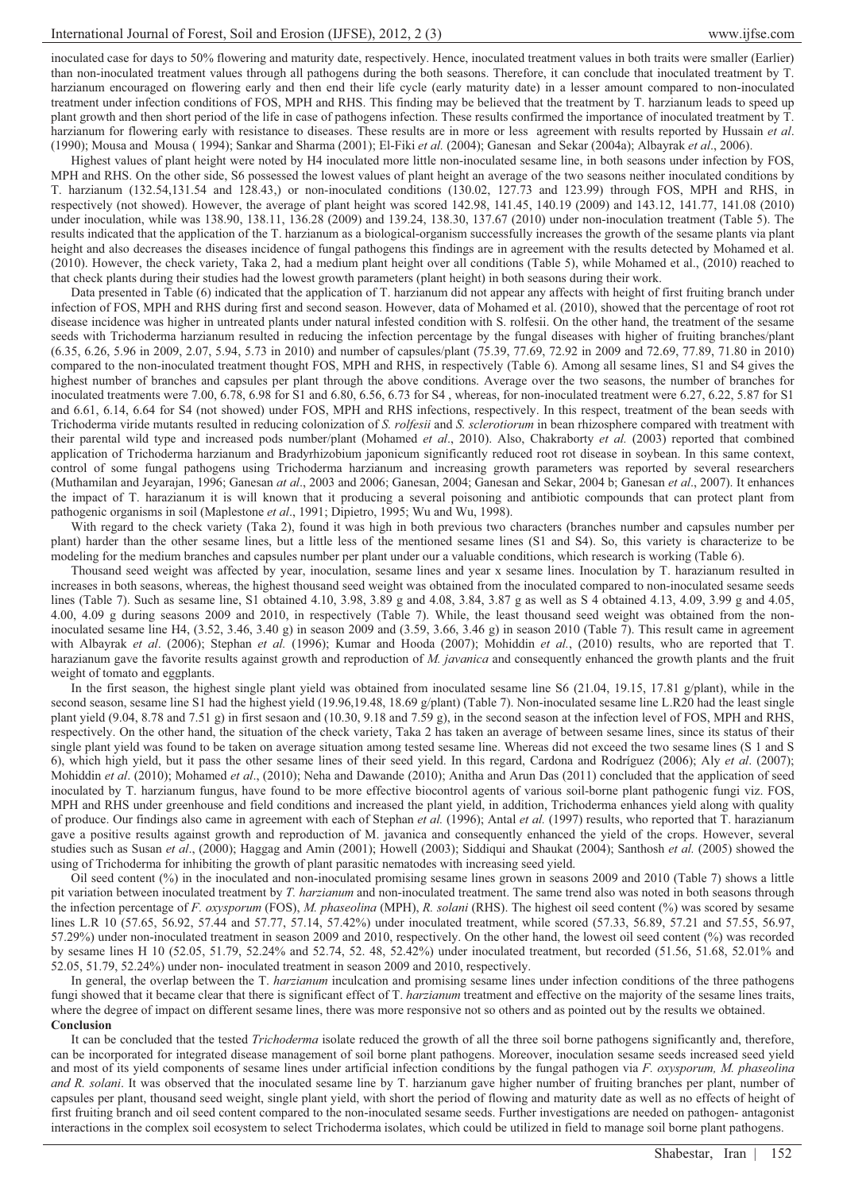inoculated case for days to 50% flowering and maturity date, respectively. Hence, inoculated treatment values in both traits were smaller (Earlier) than non-inoculated treatment values through all pathogens during the both seasons. Therefore, it can conclude that inoculated treatment by T. harzianum encouraged on flowering early and then end their life cycle (early maturity date) in a lesser amount compared to non-inoculated treatment under infection conditions of FOS, MPH and RHS. This finding may be believed that the treatment by T. harzianum leads to speed up plant growth and then short period of the life in case of pathogens infection. These results confirmed the importance of inoculated treatment by T. harzianum for flowering early with resistance to diseases. These results are in more or less agreement with results reported by Hussain *et al*. (1990); Mousa and Mousa ( 1994); Sankar and Sharma (2001); El-Fiki *et al.* (2004); Ganesan and Sekar (2004a); Albayrak *et al*., 2006).

Highest values of plant height were noted by H4 inoculated more little non-inoculated sesame line, in both seasons under infection by FOS, MPH and RHS. On the other side, S6 possessed the lowest values of plant height an average of the two seasons neither inoculated conditions by T. harzianum (132.54,131.54 and 128.43,) or non-inoculated conditions (130.02, 127.73 and 123.99) through FOS, MPH and RHS, in respectively (not showed). However, the average of plant height was scored 142.98, 141.45, 140.19 (2009) and 143.12, 141.77, 141.08 (2010) under inoculation, while was 138.90, 138.11, 136.28 (2009) and 139.24, 138.30, 137.67 (2010) under non-inoculation treatment (Table 5). The results indicated that the application of the T. harzianum as a biological-organism successfully increases the growth of the sesame plants via plant height and also decreases the diseases incidence of fungal pathogens this findings are in agreement with the results detected by Mohamed et al. (2010). However, the check variety, Taka 2, had a medium plant height over all conditions (Table 5), while Mohamed et al., (2010) reached to that check plants during their studies had the lowest growth parameters (plant height) in both seasons during their work.

Data presented in Table (6) indicated that the application of T. harzianum did not appear any affects with height of first fruiting branch under infection of FOS, MPH and RHS during first and second season. However, data of Mohamed et al. (2010), showed that the percentage of root rot disease incidence was higher in untreated plants under natural infested condition with S. rolfesii. On the other hand, the treatment of the sesame seeds with Trichoderma harzianum resulted in reducing the infection percentage by the fungal diseases with higher of fruiting branches/plant (6.35, 6.26, 5.96 in 2009, 2.07, 5.94, 5.73 in 2010) and number of capsules/plant (75.39, 77.69, 72.92 in 2009 and 72.69, 77.89, 71.80 in 2010) compared to the non-inoculated treatment thought FOS, MPH and RHS, in respectively (Table 6). Among all sesame lines, S1 and S4 gives the highest number of branches and capsules per plant through the above conditions. Average over the two seasons, the number of branches for inoculated treatments were 7.00, 6.78, 6.98 for S1 and 6.80, 6.56, 6.73 for S4 , whereas, for non-inoculated treatment were 6.27, 6.22, 5.87 for S1 and 6.61, 6.14, 6.64 for S4 (not showed) under FOS, MPH and RHS infections, respectively. In this respect, treatment of the bean seeds with Trichoderma viride mutants resulted in reducing colonization of *S. rolfesii* and *S. sclerotiorum* in bean rhizosphere compared with treatment with their parental wild type and increased pods number/plant (Mohamed *et al*., 2010). Also, Chakraborty *et al.* (2003) reported that combined application of Trichoderma harzianum and Bradyrhizobium japonicum significantly reduced root rot disease in soybean. In this same context, control of some fungal pathogens using Trichoderma harzianum and increasing growth parameters was reported by several researchers (Muthamilan and Jeyarajan, 1996; Ganesan *at al*., 2003 and 2006; Ganesan, 2004; Ganesan and Sekar, 2004 b; Ganesan *et al*., 2007). It enhances the impact of T. harazianum it is will known that it producing a several poisoning and antibiotic compounds that can protect plant from pathogenic organisms in soil (Maplestone *et al*., 1991; Dipietro, 1995; Wu and Wu, 1998).

With regard to the check variety (Taka 2), found it was high in both previous two characters (branches number and capsules number per plant) harder than the other sesame lines, but a little less of the mentioned sesame lines (S1 and S4). So, this variety is characterize to be modeling for the medium branches and capsules number per plant under our a valuable conditions, which research is working (Table 6).

Thousand seed weight was affected by year, inoculation, sesame lines and year x sesame lines. Inoculation by T. harazianum resulted in increases in both seasons, whereas, the highest thousand seed weight was obtained from the inoculated compared to non-inoculated sesame seeds lines (Table 7). Such as sesame line, S1 obtained 4.10, 3.98, 3.89 g and 4.08, 3.84, 3.87 g as well as S 4 obtained 4.13, 4.09, 3.99 g and 4.05, 4.00, 4.09 g during seasons 2009 and 2010, in respectively (Table 7). While, the least thousand seed weight was obtained from the noninoculated sesame line H4, (3.52, 3.46, 3.40 g) in season 2009 and (3.59, 3.66, 3.46 g) in season 2010 (Table 7). This result came in agreement with Albayrak *et al*. (2006); Stephan *et al.* (1996); Kumar and Hooda (2007); Mohiddin *et al.*, (2010) results, who are reported that T. harazianum gave the favorite results against growth and reproduction of *M. javanica* and consequently enhanced the growth plants and the fruit weight of tomato and eggplants.

In the first season, the highest single plant yield was obtained from inoculated sesame line S6 (21.04, 19.15, 17.81 g/plant), while in the second season, sesame line S1 had the highest yield (19.96,19.48, 18.69 g/plant) (Table 7). Non-inoculated sesame line L.R20 had the least single plant yield (9.04, 8.78 and 7.51 g) in first sesaon and (10.30, 9.18 and 7.59 g), in the second season at the infection level of FOS, MPH and RHS, respectively. On the other hand, the situation of the check variety, Taka 2 has taken an average of between sesame lines, since its status of their single plant yield was found to be taken on average situation among tested sesame line. Whereas did not exceed the two sesame lines (S 1 and S 6), which high yield, but it pass the other sesame lines of their seed yield. In this regard, Cardona and Rodríguez (2006); Aly *et al*. (2007); Mohiddin *et al*. (2010); Mohamed *et al*., (2010); Neha and Dawande (2010); Anitha and Arun Das (2011) concluded that the application of seed inoculated by T. harzianum fungus, have found to be more effective biocontrol agents of various soil-borne plant pathogenic fungi viz. FOS, MPH and RHS under greenhouse and field conditions and increased the plant yield, in addition, Trichoderma enhances yield along with quality of produce. Our findings also came in agreement with each of Stephan *et al.* (1996); Antal *et al.* (1997) results, who reported that T. harazianum gave a positive results against growth and reproduction of M. javanica and consequently enhanced the yield of the crops. However, several studies such as Susan *et al*., (2000); Haggag and Amin (2001); Howell (2003); Siddiqui and Shaukat (2004); Santhosh *et al.* (2005) showed the using of Trichoderma for inhibiting the growth of plant parasitic nematodes with increasing seed yield.

Oil seed content (%) in the inoculated and non-inoculated promising sesame lines grown in seasons 2009 and 2010 (Table 7) shows a little pit variation between inoculated treatment by *T. harzianum* and non-inoculated treatment. The same trend also was noted in both seasons through the infection percentage of *F. oxysporum* (FOS), *M. phaseolina* (MPH), *R. solani* (RHS). The highest oil seed content (%) was scored by sesame lines L.R 10 (57.65, 56.92, 57.44 and 57.77, 57.14, 57.42%) under inoculated treatment, while scored (57.33, 56.89, 57.21 and 57.55, 56.97, 57.29%) under non-inoculated treatment in season 2009 and 2010, respectively. On the other hand, the lowest oil seed content (%) was recorded by sesame lines H 10 (52.05, 51.79, 52.24% and 52.74, 52. 48, 52.42%) under inoculated treatment, but recorded (51.56, 51.68, 52.01% and 52.05, 51.79, 52.24%) under non- inoculated treatment in season 2009 and 2010, respectively.

In general, the overlap between the T. *harzianum* inculcation and promising sesame lines under infection conditions of the three pathogens fungi showed that it became clear that there is significant effect of T. *harzianum* treatment and effective on the majority of the sesame lines traits, where the degree of impact on different sesame lines, there was more responsive not so others and as pointed out by the results we obtained. **Conclusion**

It can be concluded that the tested *Trichoderma* isolate reduced the growth of all the three soil borne pathogens significantly and, therefore, can be incorporated for integrated disease management of soil borne plant pathogens. Moreover, inoculation sesame seeds increased seed yield and most of its yield components of sesame lines under artificial infection conditions by the fungal pathogen via *F. oxysporum, M. phaseolina and R. solani*. It was observed that the inoculated sesame line by T. harzianum gave higher number of fruiting branches per plant, number of capsules per plant, thousand seed weight, single plant yield, with short the period of flowing and maturity date as well as no effects of height of first fruiting branch and oil seed content compared to the non-inoculated sesame seeds. Further investigations are needed on pathogen- antagonist interactions in the complex soil ecosystem to select Trichoderma isolates, which could be utilized in field to manage soil borne plant pathogens.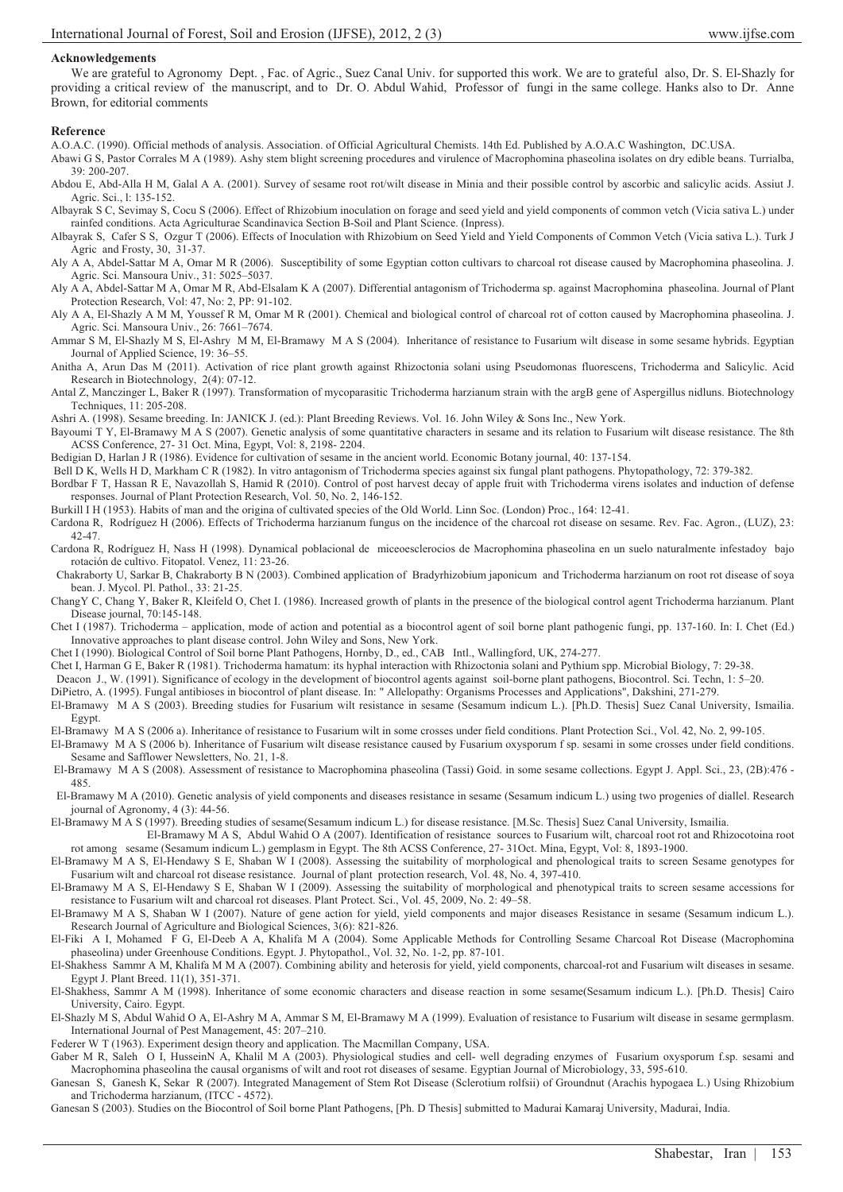### **Acknowledgements**

We are grateful to Agronomy Dept. , Fac. of Agric., Suez Canal Univ. for supported this work. We are to grateful also, Dr. S. El-Shazly for providing a critical review of the manuscript, and to Dr. O. Abdul Wahid, Professor of fungi in the same college. Hanks also to Dr. Anne Brown, for editorial comments

#### **Reference**

A.O.A.C. (1990). Official methods of analysis. Association. of Official Agricultural Chemists. 14th Ed. Published by A.O.A.C Washington, DC.USA.

- Abawi G S, Pastor Corrales M A (1989). Ashy stem blight screening procedures and virulence of Macrophomina phaseolina isolates on dry edible beans. Turrialba, 39: 200-207.
- Abdou E, Abd-Alla H M, Galal A A. (2001). Survey of sesame root rot/wilt disease in Minia and their possible control by ascorbic and salicylic acids. Assiut J. Agric. Sci., l: 135-152.

Albayrak S C, Sevimay S, Cocu S (2006). Effect of Rhizobium inoculation on forage and seed yield and yield components of common vetch (Vicia sativa L.) under rainfed conditions. Acta Agriculturae Scandinavica Section B-Soil and Plant Science. (Inpress).

Albayrak S, Cafer S S, Ozgur T (2006). Effects of Inoculation with Rhizobium on Seed Yield and Yield Components of Common Vetch (Vicia sativa L.). Turk J Agric and Frosty, 30, 31-37.

Aly A A, Abdel-Sattar M A, Omar M R (2006). Susceptibility of some Egyptian cotton cultivars to charcoal rot disease caused by Macrophomina phaseolina. J. Agric. Sci. Mansoura Univ., 31: 5025–5037.

Aly A A, Abdel-Sattar M A, Omar M R, Abd-Elsalam K A (2007). Differential antagonism of Trichoderma sp. against Macrophomina phaseolina. Journal of Plant Protection Research, Vol: 47, No: 2, PP: 91-102.

Aly A A, El-Shazly A M M, Youssef R M, Omar M R (2001). Chemical and biological control of charcoal rot of cotton caused by Macrophomina phaseolina. J. Agric. Sci. Mansoura Univ., 26: 7661–7674.

Ammar S M, El-Shazly M S, El-Ashry M M, El-Bramawy M A S (2004). Inheritance of resistance to Fusarium wilt disease in some sesame hybrids. Egyptian Journal of Applied Science, 19: 36–55.

Anitha A, Arun Das M (2011). Activation of rice plant growth against Rhizoctonia solani using Pseudomonas fluorescens, Trichoderma and Salicylic. Acid Research in Biotechnology, 2(4): 07-12.

Antal Z, Manczinger L, Baker R (1997). Transformation of mycoparasitic Trichoderma harzianum strain with the argB gene of Aspergillus nidluns. Biotechnology Techniques, 11: 205-208.

Ashri A. (1998). Sesame breeding. In: JANICK J. (ed.): Plant Breeding Reviews. Vol. 16. John Wiley & Sons Inc., New York.

Bayoumi T Y, El-Bramawy M A S (2007). Genetic analysis of some quantitative characters in sesame and its relation to Fusarium wilt disease resistance. The 8th ACSS Conference, 27- 31 Oct. Mina, Egypt, Vol: 8, 2198- 2204.

Bedigian D, Harlan J R (1986). Evidence for cultivation of sesame in the ancient world. Economic Botany journal, 40: 137-154.

Bell D K, Wells H D, Markham C R (1982). In vitro antagonism of Trichoderma species against six fungal plant pathogens. Phytopathology, 72: 379-382.

Bordbar F T, Hassan R E, Navazollah S, Hamid R (2010). Control of post harvest decay of apple fruit with Trichoderma virens isolates and induction of defense responses. Journal of Plant Protection Research, Vol. 50, No. 2, 146-152.

Burkill I H (1953). Habits of man and the origina of cultivated species of the Old World. Linn Soc. (London) Proc., 164: 12-41.

Cardona R, Rodríguez H (2006). Effects of Trichoderma harzianum fungus on the incidence of the charcoal rot disease on sesame. Rev. Fac. Agron., (LUZ), 23: 42-47.

Cardona R, Rodríguez H, Nass H (1998). Dynamical poblacional de miceoesclerocios de Macrophomina phaseolina en un suelo naturalmente infestadoy bajo rotación de cultivo. Fitopatol. Venez, 11: 23-26.

 Chakraborty U, Sarkar B, Chakraborty B N (2003). Combined application of Bradyrhizobium japonicum and Trichoderma harzianum on root rot disease of soya bean. J. Mycol. Pl. Pathol., 33: 21-25.

ChangY C, Chang Y, Baker R, Kleifeld O, Chet I. (1986). Increased growth of plants in the presence of the biological control agent Trichoderma harzianum. Plant Disease journal, 70:145-148.

Chet I (1987). Trichoderma – application, mode of action and potential as a biocontrol agent of soil borne plant pathogenic fungi, pp. 137-160. In: I. Chet (Ed.) Innovative approaches to plant disease control. John Wiley and Sons, New York.

Chet I (1990). Biological Control of Soil borne Plant Pathogens, Hornby, D., ed., CAB Intl., Wallingford, UK, 274-277.

Chet I, Harman G E, Baker R (1981). Trichoderma hamatum: its hyphal interaction with Rhizoctonia solani and Pythium spp. Microbial Biology, 7: 29-38.

Deacon J., W. (1991). Significance of ecology in the development of biocontrol agents against soil-borne plant pathogens, Biocontrol. Sci. Techn, 1: 5–20.

DiPietro, A. (1995). Fungal antibioses in biocontrol of plant disease. In: " Allelopathy: Organisms Processes and Applications", Dakshini, 271-279.

El-Bramawy M A S (2003). Breeding studies for Fusarium wilt resistance in sesame (Sesamum indicum L.). [Ph.D. Thesis] Suez Canal University, Ismailia. Egypt.

El-Bramawy M A S (2006 a). Inheritance of resistance to Fusarium wilt in some crosses under field conditions. Plant Protection Sci., Vol. 42, No. 2, 99-105.

El-Bramawy M A S (2006 b). Inheritance of Fusarium wilt disease resistance caused by Fusarium oxysporum f sp. sesami in some crosses under field conditions. Sesame and Safflower Newsletters, No. 21, 1-8.

 El-Bramawy M A S (2008). Assessment of resistance to Macrophomina phaseolina (Tassi) Goid. in some sesame collections. Egypt J. Appl. Sci., 23, (2B):476 - 485.

 El-Bramawy M A (2010). Genetic analysis of yield components and diseases resistance in sesame (Sesamum indicum L.) using two progenies of diallel. Research journal of Agronomy, 4 (3): 44-56.

El-Bramawy M A S (1997). Breeding studies of sesame(Sesamum indicum L.) for disease resistance. [M.Sc. Thesis] Suez Canal University, Ismailia.

 El-Bramawy M A S, Abdul Wahid O A (2007). Identification of resistance sources to Fusarium wilt, charcoal root rot and Rhizocotoina root rot among sesame (Sesamum indicum L.) gemplasm in Egypt. The 8th ACSS Conference, 27- 31Oct. Mina, Egypt, Vol: 8, 1893-1900.

El-Bramawy M A S, El-Hendawy S E, Shaban W I (2008). Assessing the suitability of morphological and phenological traits to screen Sesame genotypes for Fusarium wilt and charcoal rot disease resistance. Journal of plant protection research, Vol. 48, No. 4, 397-410.

El-Bramawy M A S, El-Hendawy S E, Shaban W I (2009). Assessing the suitability of morphological and phenotypical traits to screen sesame accessions for resistance to Fusarium wilt and charcoal rot diseases. Plant Protect. Sci., Vol. 45, 2009, No. 2: 49–58.

El-Bramawy M A S, Shaban W I (2007). Nature of gene action for yield, yield components and major diseases Resistance in sesame (Sesamum indicum L.). Research Journal of Agriculture and Biological Sciences, 3(6): 821-826.

El-Fiki A I, Mohamed F G, El-Deeb A A, Khalifa M A (2004). Some Applicable Methods for Controlling Sesame Charcoal Rot Disease (Macrophomina phaseolina) under Greenhouse Conditions. Egypt. J. Phytopathol., Vol. 32, No. 1-2, pp. 87-101.

El-Shakhess Sammr A M, Khalifa M M A (2007). Combining ability and heterosis for yield, yield components, charcoal-rot and Fusarium wilt diseases in sesame. Egypt J. Plant Breed. 11(1), 351-371.

El-Shakhess, Sammr A M (1998). Inheritance of some economic characters and disease reaction in some sesame(Sesamum indicum L.). [Ph.D. Thesis] Cairo University, Cairo. Egypt.

El-Shazly M S, Abdul Wahid O A, El-Ashry M A, Ammar S M, El-Bramawy M A (1999). Evaluation of resistance to Fusarium wilt disease in sesame germplasm. International Journal of Pest Management, 45: 207–210.

Federer W T (1963). Experiment design theory and application. The Macmillan Company, USA.

Gaber M R, Saleh O I, HusseinN A, Khalil M A (2003). Physiological studies and cell- well degrading enzymes of Fusarium oxysporum f.sp. sesami and Macrophomina phaseolina the causal organisms of wilt and root rot diseases of sesame. Egyptian Journal of Microbiology, 33, 595-610.

Ganesan S, Ganesh K, Sekar R (2007). Integrated Management of Stem Rot Disease (Sclerotium rolfsii) of Groundnut (Arachis hypogaea L.) Using Rhizobium and Trichoderma harzianum, (ITCC - 4572).

Ganesan S (2003). Studies on the Biocontrol of Soil borne Plant Pathogens, [Ph. D Thesis] submitted to Madurai Kamaraj University, Madurai, India.